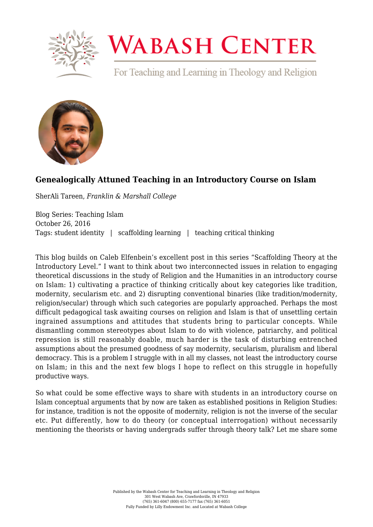

## **WABASH CENTER**

For Teaching and Learning in Theology and Religion



## **[Genealogically Attuned Teaching in an Introductory Course on Islam](https://www.wabashcenter.wabash.edu/2016/10/genealogically-attuned-teaching-in-an-introductory-course-on-islam/)**

SherAli Tareen, *Franklin & Marshall College*

Blog Series: Teaching Islam October 26, 2016 Tags: student identity | scaffolding learning | teaching critical thinking

This blog builds on Caleb Elfenbein's excellent post in this series "Scaffolding Theory at the Introductory Level." I want to think about two interconnected issues in relation to engaging theoretical discussions in the study of Religion and the Humanities in an introductory course on Islam: 1) cultivating a practice of thinking critically about key categories like tradition, modernity, secularism etc. and 2) disrupting conventional binaries (like tradition/modernity, religion/secular) through which such categories are popularly approached. Perhaps the most difficult pedagogical task awaiting courses on religion and Islam is that of unsettling certain ingrained assumptions and attitudes that students bring to particular concepts. While dismantling common stereotypes about Islam to do with violence, patriarchy, and political repression is still reasonably doable, much harder is the task of disturbing entrenched assumptions about the presumed goodness of say modernity, secularism, pluralism and liberal democracy. This is a problem I struggle with in all my classes, not least the introductory course on Islam; in this and the next few blogs I hope to reflect on this struggle in hopefully productive ways.

So what could be some effective ways to share with students in an introductory course on Islam conceptual arguments that by now are taken as established positions in Religion Studies: for instance, tradition is not the opposite of modernity, religion is not the inverse of the secular etc. Put differently, how to do theory (or conceptual interrogation) without necessarily mentioning the theorists or having undergrads suffer through theory talk? Let me share some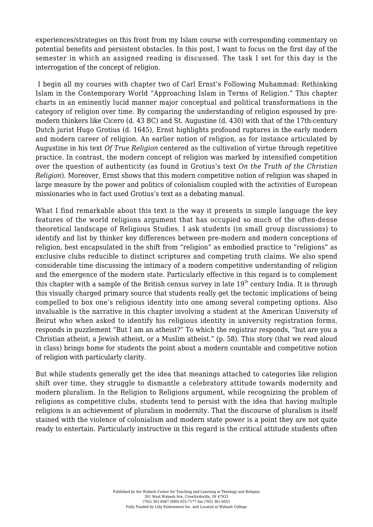experiences/strategies on this front from my Islam course with corresponding commentary on potential benefits and persistent obstacles. In this post, I want to focus on the first day of the semester in which an assigned reading is discussed. The task I set for this day is the interrogation of the concept of religion.

 I begin all my courses with chapter two of Carl Ernst's Following Muhammad: Rethinking Islam in the Contemporary World "Approaching Islam in Terms of Religion." This chapter charts in an eminently lucid manner major conceptual and political transformations in the category of religion over time. By comparing the understanding of religion espoused by premodern thinkers like Cicero (d. 43 BC) and St. Augustine (d. 430) with that of the 17th-century Dutch jurist Hugo Grotius (d. 1645), Ernst highlights profound ruptures in the early modern and modern career of religion. An earlier notion of religion, as for instance articulated by Augustine in his text *Of True Religion* centered as the cultivation of virtue through repetitive practice. In contrast, the modern concept of religion was marked by intensified competition over the question of authenticity (as found in Grotius's text *On the Truth of the Christian Religion*). Moreover, Ernst shows that this modern competitive notion of religion was shaped in large measure by the power and politics of colonialism coupled with the activities of European missionaries who in fact used Grotius's text as a debating manual.

What I find remarkable about this text is the way it presents in simple language the key features of the world religions argument that has occupied so much of the often-dense theoretical landscape of Religious Studies. I ask students (in small group discussions) to identify and list by thinker key differences between pre-modern and modern conceptions of religion, best encapsulated in the shift from "religion" as embodied practice to "religions" as exclusive clubs reducible to distinct scriptures and competing truth claims. We also spend considerable time discussing the intimacy of a modern competitive understanding of religion and the emergence of the modern state. Particularly effective in this regard is to complement this chapter with a sample of the British census survey in late  $19<sup>th</sup>$  century India. It is through this visually charged primary source that students really get the tectonic implications of being compelled to box one's religious identity into one among several competing options. Also invaluable is the narrative in this chapter involving a student at the American University of Beirut who when asked to identify his religious identity in university registration forms, responds in puzzlement "But I am an atheist?" To which the registrar responds, "but are you a Christian atheist, a Jewish atheist, or a Muslim atheist." (p. 58). This story (that we read aloud in class) brings home for students the point about a modern countable and competitive notion of religion with particularly clarity.

But while students generally get the idea that meanings attached to categories like religion shift over time, they struggle to dismantle a celebratory attitude towards modernity and modern pluralism. In the Religion to Religions argument, while recognizing the problem of religions as competitive clubs, students tend to persist with the idea that having multiple religions is an achievement of pluralism in modernity. That the discourse of pluralism is itself stained with the violence of colonialism and modern state power is a point they are not quite ready to entertain. Particularly instructive in this regard is the critical attitude students often